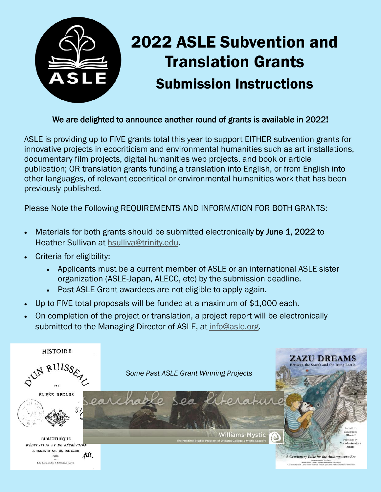

## We are delighted to announce another round of grants is available in 2022!

ASLE is providing up to FIVE grants total this year to support EITHER subvention grants for innovative projects in ecocriticism and environmental humanities such as art installations, documentary film projects, digital humanities web projects, and book or article publication; OR translation grants funding a translation into English, or from English into other languages, of relevant ecocritical or environmental humanities work that has been previously published.

Please Note the Following REQUIREMENTS AND INFORMATION FOR BOTH GRANTS:

- Materials for both grants should be submitted electronically by June 1, 2022 to Heather Sullivan at [hsulliva@trinity.edu.](mailto:hsulliva@trinity.edu)
- Criteria for eligibility:
	- Applicants must be a current member of ASLE or an international ASLE sister organization (ASLE-Japan, ALECC, etc) by the submission deadline.
	- Past ASLE Grant awardees are not eligible to apply again.
- Up to FIVE total proposals will be funded at a maximum of \$1,000 each.
- On completion of the project or translation, a project report will be electronically submitted to the Managing Director of ASLE, at [info@asle.org.](mailto:info@asle.org)